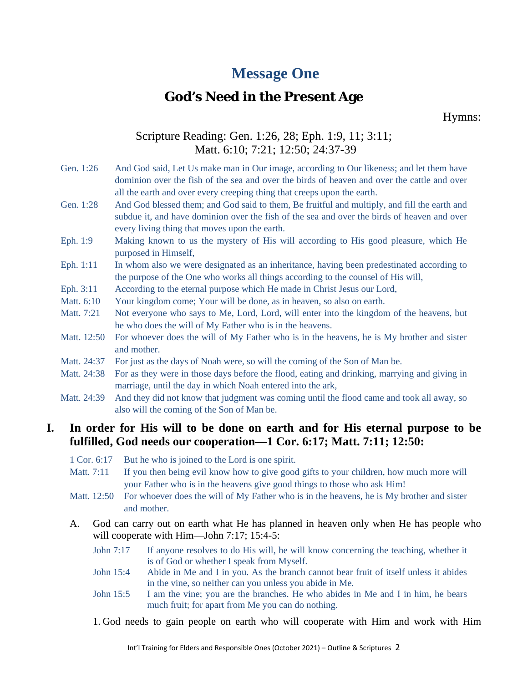# **Message One**

## **God's Need in the Present Age**

Hymns:

## Scripture Reading: Gen. 1:26, 28; Eph. 1:9, 11; 3:11; Matt. 6:10; 7:21; 12:50; 24:37-39

- Gen. 1:26 And God said, Let Us make man in Our image, according to Our likeness; and let them have dominion over the fish of the sea and over the birds of heaven and over the cattle and over all the earth and over every creeping thing that creeps upon the earth.
- Gen. 1:28 And God blessed them; and God said to them, Be fruitful and multiply, and fill the earth and subdue it, and have dominion over the fish of the sea and over the birds of heaven and over every living thing that moves upon the earth.
- Eph. 1:9 Making known to us the mystery of His will according to His good pleasure, which He purposed in Himself,
- Eph. 1:11 In whom also we were designated as an inheritance, having been predestinated according to the purpose of the One who works all things according to the counsel of His will,
- Eph. 3:11 According to the eternal purpose which He made in Christ Jesus our Lord,
- Matt.  $6:10$  Your kingdom come; Your will be done, as in heaven, so also on earth.
- Matt. 7:21 Not everyone who says to Me, Lord, Lord, will enter into the kingdom of the heavens, but he who does the will of My Father who is in the heavens.
- Matt. 12:50 For whoever does the will of My Father who is in the heavens, he is My brother and sister and mother.
- Matt. 24:37 For just as the days of Noah were, so will the coming of the Son of Man be.
- Matt. 24:38 For as they were in those days before the flood, eating and drinking, marrying and giving in marriage, until the day in which Noah entered into the ark,
- Matt. 24:39 And they did not know that judgment was coming until the flood came and took all away, so also will the coming of the Son of Man be.

#### **I. In order for His will to be done on earth and for His eternal purpose to be fulfilled, God needs our cooperation—1 Cor. 6:17; Matt. 7:11; 12:50:**

- 1 Cor. 6:17 But he who is joined to the Lord is one spirit.
- Matt. 7:11 If you then being evil know how to give good gifts to your children, how much more will your Father who is in the heavens give good things to those who ask Him!
- Matt. 12:50 For whoever does the will of My Father who is in the heavens, he is My brother and sister and mother.
- A. God can carry out on earth what He has planned in heaven only when He has people who will cooperate with Him—John 7:17; 15:4-5:
	- John 7:17 If anyone resolves to do His will, he will know concerning the teaching, whether it is of God or whether I speak from Myself.
	- John 15:4 Abide in Me and I in you. As the branch cannot bear fruit of itself unless it abides in the vine, so neither can you unless you abide in Me.
	- John 15:5 I am the vine; you are the branches. He who abides in Me and I in him, he bears much fruit; for apart from Me you can do nothing.
	- 1. God needs to gain people on earth who will cooperate with Him and work with Him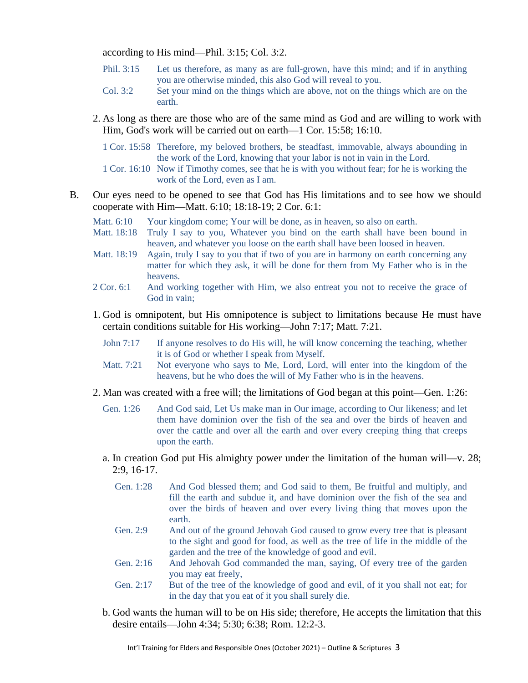according to His mind—Phil. 3:15; Col. 3:2.

- Phil. 3:15 Let us therefore, as many as are full-grown, have this mind; and if in anything you are otherwise minded, this also God will reveal to you.
- Col. 3:2 Set your mind on the things which are above, not on the things which are on the earth.
- 2. As long as there are those who are of the same mind as God and are willing to work with Him, God's work will be carried out on earth—1 Cor. 15:58; 16:10.
	- 1 Cor. 15:58 Therefore, my beloved brothers, be steadfast, immovable, always abounding in the work of the Lord, knowing that your labor is not in vain in the Lord.
	- 1 Cor. 16:10 Now if Timothy comes, see that he is with you without fear; for he is working the work of the Lord, even as I am.
- B. Our eyes need to be opened to see that God has His limitations and to see how we should cooperate with Him—Matt. 6:10; 18:18-19; 2 Cor. 6:1:
	- Matt. 6:10 Your kingdom come; Your will be done, as in heaven, so also on earth.
	- Matt. 18:18 Truly I say to you, Whatever you bind on the earth shall have been bound in heaven, and whatever you loose on the earth shall have been loosed in heaven.
	- Matt. 18:19 Again, truly I say to you that if two of you are in harmony on earth concerning any matter for which they ask, it will be done for them from My Father who is in the heavens.
	- 2 Cor. 6:1 And working together with Him, we also entreat you not to receive the grace of God in vain;
	- 1. God is omnipotent, but His omnipotence is subject to limitations because He must have certain conditions suitable for His working—John 7:17; Matt. 7:21.
		- John 7:17 If anyone resolves to do His will, he will know concerning the teaching, whether it is of God or whether I speak from Myself.
		- Matt. 7:21 Not everyone who says to Me, Lord, Lord, will enter into the kingdom of the heavens, but he who does the will of My Father who is in the heavens.
	- 2. Man was created with a free will; the limitations of God began at this point—Gen. 1:26:
		- Gen. 1:26 And God said, Let Us make man in Our image, according to Our likeness; and let them have dominion over the fish of the sea and over the birds of heaven and over the cattle and over all the earth and over every creeping thing that creeps upon the earth.
		- a. In creation God put His almighty power under the limitation of the human will—v. 28; 2:9, 16-17.
			- Gen. 1:28 And God blessed them; and God said to them, Be fruitful and multiply, and fill the earth and subdue it, and have dominion over the fish of the sea and over the birds of heaven and over every living thing that moves upon the earth.
			- Gen. 2:9 And out of the ground Jehovah God caused to grow every tree that is pleasant to the sight and good for food, as well as the tree of life in the middle of the garden and the tree of the knowledge of good and evil.
			- Gen. 2:16 And Jehovah God commanded the man, saying, Of every tree of the garden you may eat freely,
			- Gen. 2:17 But of the tree of the knowledge of good and evil, of it you shall not eat; for in the day that you eat of it you shall surely die.
		- b. God wants the human will to be on His side; therefore, He accepts the limitation that this desire entails—John 4:34; 5:30; 6:38; Rom. 12:2-3.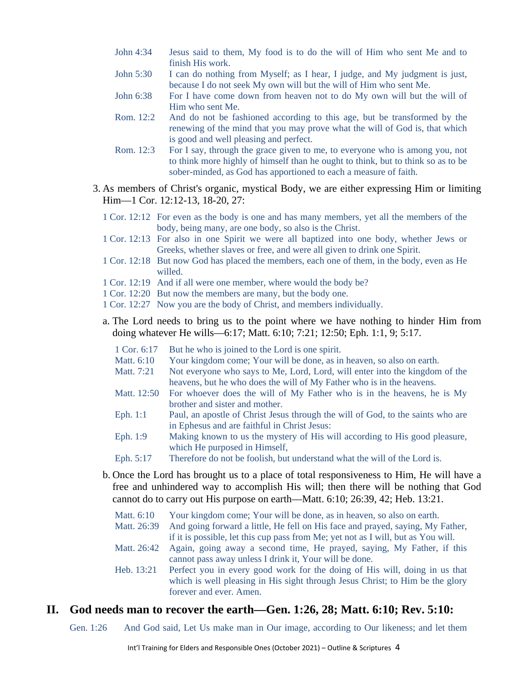- John 4:34 Jesus said to them, My food is to do the will of Him who sent Me and to finish His work.
- John 5:30 I can do nothing from Myself; as I hear, I judge, and My judgment is just, because I do not seek My own will but the will of Him who sent Me.
- John 6:38 For I have come down from heaven not to do My own will but the will of Him who sent Me.
- Rom. 12:2 And do not be fashioned according to this age, but be transformed by the renewing of the mind that you may prove what the will of God is, that which is good and well pleasing and perfect.
- Rom. 12:3 For I say, through the grace given to me, to everyone who is among you, not to think more highly of himself than he ought to think, but to think so as to be sober-minded, as God has apportioned to each a measure of faith.
- 3. As members of Christ's organic, mystical Body, we are either expressing Him or limiting Him—1 Cor. 12:12-13, 18-20, 27:
	- 1 Cor. 12:12 For even as the body is one and has many members, yet all the members of the body, being many, are one body, so also is the Christ.
	- 1 Cor. 12:13 For also in one Spirit we were all baptized into one body, whether Jews or Greeks, whether slaves or free, and were all given to drink one Spirit.
	- 1 Cor. 12:18 But now God has placed the members, each one of them, in the body, even as He willed.
	- 1 Cor. 12:19 And if all were one member, where would the body be?
	- 1 Cor. 12:20 But now the members are many, but the body one.
	- 1 Cor. 12:27 Now you are the body of Christ, and members individually.
	- a. The Lord needs to bring us to the point where we have nothing to hinder Him from doing whatever He wills—6:17; Matt. 6:10; 7:21; 12:50; Eph. 1:1, 9; 5:17.
		- 1 Cor. 6:17 But he who is joined to the Lord is one spirit.
		- Matt. 6:10 Your kingdom come; Your will be done, as in heaven, so also on earth.
		- Matt. 7:21 Not everyone who says to Me, Lord, Lord, will enter into the kingdom of the heavens, but he who does the will of My Father who is in the heavens.
		- Matt. 12:50 For whoever does the will of My Father who is in the heavens, he is My brother and sister and mother.
		- Eph. 1:1 Paul, an apostle of Christ Jesus through the will of God, to the saints who are in Ephesus and are faithful in Christ Jesus:
		- Eph. 1:9 Making known to us the mystery of His will according to His good pleasure, which He purposed in Himself,
		- Eph. 5:17 Therefore do not be foolish, but understand what the will of the Lord is.
	- b. Once the Lord has brought us to a place of total responsiveness to Him, He will have a free and unhindered way to accomplish His will; then there will be nothing that God cannot do to carry out His purpose on earth—Matt. 6:10; 26:39, 42; Heb. 13:21.

| Matt. 6:10  | Your kingdom come; Your will be done, as in heaven, so also on earth.                 |
|-------------|---------------------------------------------------------------------------------------|
| Matt. 26:39 | And going forward a little, He fell on His face and prayed, saying, My Father,        |
|             | if it is possible, let this cup pass from Me; yet not as I will, but as You will.     |
| Matt. 26:42 | Again, going away a second time, He prayed, saying, My Father, if this                |
|             | cannot pass away unless I drink it, Your will be done.                                |
|             | Heb. 13:21 Perfect you in every good work for the doing of His will, doing in us that |
|             | which is well pleasing in His sight through Jesus Christ; to Him be the glory         |
|             | forever and ever. Amen.                                                               |

#### **II. God needs man to recover the earth—Gen. 1:26, 28; Matt. 6:10; Rev. 5:10:**

Gen. 1:26 And God said, Let Us make man in Our image, according to Our likeness; and let them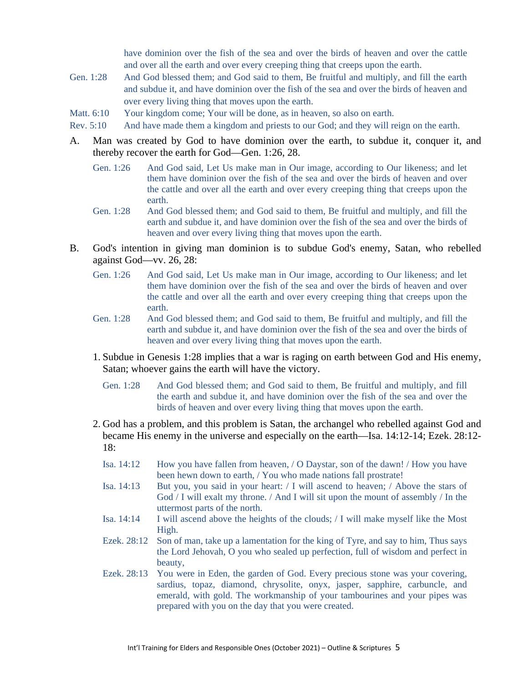have dominion over the fish of the sea and over the birds of heaven and over the cattle and over all the earth and over every creeping thing that creeps upon the earth.

- Gen. 1:28 And God blessed them; and God said to them, Be fruitful and multiply, and fill the earth and subdue it, and have dominion over the fish of the sea and over the birds of heaven and over every living thing that moves upon the earth.
- Matt. 6:10 Your kingdom come; Your will be done, as in heaven, so also on earth.
- Rev. 5:10 And have made them a kingdom and priests to our God; and they will reign on the earth.
- A. Man was created by God to have dominion over the earth, to subdue it, conquer it, and thereby recover the earth for God—Gen. 1:26, 28.
	- Gen. 1:26 And God said, Let Us make man in Our image, according to Our likeness; and let them have dominion over the fish of the sea and over the birds of heaven and over the cattle and over all the earth and over every creeping thing that creeps upon the earth.
	- Gen. 1:28 And God blessed them; and God said to them, Be fruitful and multiply, and fill the earth and subdue it, and have dominion over the fish of the sea and over the birds of heaven and over every living thing that moves upon the earth.
- B. God's intention in giving man dominion is to subdue God's enemy, Satan, who rebelled against God—vv. 26, 28:
	- Gen. 1:26 And God said, Let Us make man in Our image, according to Our likeness; and let them have dominion over the fish of the sea and over the birds of heaven and over the cattle and over all the earth and over every creeping thing that creeps upon the earth.
	- Gen. 1:28 And God blessed them; and God said to them, Be fruitful and multiply, and fill the earth and subdue it, and have dominion over the fish of the sea and over the birds of heaven and over every living thing that moves upon the earth.
	- 1. Subdue in Genesis 1:28 implies that a war is raging on earth between God and His enemy, Satan; whoever gains the earth will have the victory.
		- Gen. 1:28 And God blessed them; and God said to them, Be fruitful and multiply, and fill the earth and subdue it, and have dominion over the fish of the sea and over the birds of heaven and over every living thing that moves upon the earth.
	- 2. God has a problem, and this problem is Satan, the archangel who rebelled against God and became His enemy in the universe and especially on the earth—Isa. 14:12-14; Ezek. 28:12- 18:
		- Isa. 14:12 How you have fallen from heaven, / O Daystar, son of the dawn! / How you have been hewn down to earth, / You who made nations fall prostrate!
		- Isa. 14:13 But you, you said in your heart: / I will ascend to heaven; / Above the stars of God / I will exalt my throne. / And I will sit upon the mount of assembly / In the uttermost parts of the north.
		- Isa. 14:14 I will ascend above the heights of the clouds; / I will make myself like the Most High.
		- Ezek. 28:12 Son of man, take up a lamentation for the king of Tyre, and say to him, Thus says the Lord Jehovah, O you who sealed up perfection, full of wisdom and perfect in beauty,
		- Ezek. 28:13 You were in Eden, the garden of God. Every precious stone was your covering, sardius, topaz, diamond, chrysolite, onyx, jasper, sapphire, carbuncle, and emerald, with gold. The workmanship of your tambourines and your pipes was prepared with you on the day that you were created.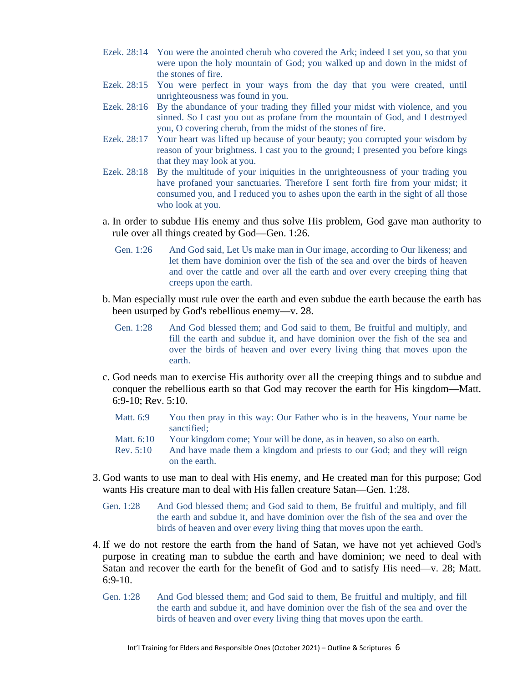- Ezek. 28:14 You were the anointed cherub who covered the Ark; indeed I set you, so that you were upon the holy mountain of God; you walked up and down in the midst of the stones of fire.
- Ezek. 28:15 You were perfect in your ways from the day that you were created, until unrighteousness was found in you.
- Ezek. 28:16 By the abundance of your trading they filled your midst with violence, and you sinned. So I cast you out as profane from the mountain of God, and I destroyed you, O covering cherub, from the midst of the stones of fire.
- Ezek. 28:17 Your heart was lifted up because of your beauty; you corrupted your wisdom by reason of your brightness. I cast you to the ground; I presented you before kings that they may look at you.
- Ezek. 28:18 By the multitude of your iniquities in the unrighteousness of your trading you have profaned your sanctuaries. Therefore I sent forth fire from your midst; it consumed you, and I reduced you to ashes upon the earth in the sight of all those who look at you.
- a. In order to subdue His enemy and thus solve His problem, God gave man authority to rule over all things created by God—Gen. 1:26.
	- Gen. 1:26 And God said, Let Us make man in Our image, according to Our likeness; and let them have dominion over the fish of the sea and over the birds of heaven and over the cattle and over all the earth and over every creeping thing that creeps upon the earth.
- b. Man especially must rule over the earth and even subdue the earth because the earth has been usurped by God's rebellious enemy—v. 28.
	- Gen. 1:28 And God blessed them; and God said to them, Be fruitful and multiply, and fill the earth and subdue it, and have dominion over the fish of the sea and over the birds of heaven and over every living thing that moves upon the earth.
- c. God needs man to exercise His authority over all the creeping things and to subdue and conquer the rebellious earth so that God may recover the earth for His kingdom—Matt. 6:9-10; Rev. 5:10.

| <b>Matt. 6:9</b>          | You then pray in this way: Our Father who is in the heavens, Your name be<br>sanctified:                                                                           |
|---------------------------|--------------------------------------------------------------------------------------------------------------------------------------------------------------------|
| Matt. 6:10<br>Rev. $5:10$ | Your kingdom come; Your will be done, as in heaven, so also on earth.<br>And have made them a kingdom and priests to our God; and they will reign<br>on the earth. |

- 3. God wants to use man to deal with His enemy, and He created man for this purpose; God wants His creature man to deal with His fallen creature Satan—Gen. 1:28.
	- Gen. 1:28 And God blessed them; and God said to them, Be fruitful and multiply, and fill the earth and subdue it, and have dominion over the fish of the sea and over the birds of heaven and over every living thing that moves upon the earth.
- 4. If we do not restore the earth from the hand of Satan, we have not yet achieved God's purpose in creating man to subdue the earth and have dominion; we need to deal with Satan and recover the earth for the benefit of God and to satisfy His need—v. 28; Matt. 6:9-10.
	- Gen. 1:28 And God blessed them; and God said to them, Be fruitful and multiply, and fill the earth and subdue it, and have dominion over the fish of the sea and over the birds of heaven and over every living thing that moves upon the earth.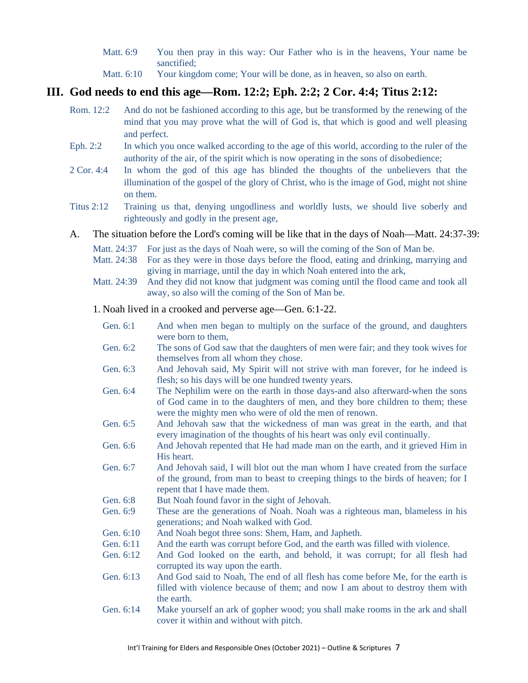- Matt. 6:9 You then pray in this way: Our Father who is in the heavens, Your name be sanctified;
- Matt.  $6:10$  Your kingdom come; Your will be done, as in heaven, so also on earth.

### **III. God needs to end this age—Rom. 12:2; Eph. 2:2; 2 Cor. 4:4; Titus 2:12:**

- Rom. 12:2 And do not be fashioned according to this age, but be transformed by the renewing of the mind that you may prove what the will of God is, that which is good and well pleasing and perfect.
- Eph. 2:2 In which you once walked according to the age of this world, according to the ruler of the authority of the air, of the spirit which is now operating in the sons of disobedience;
- 2 Cor. 4:4 In whom the god of this age has blinded the thoughts of the unbelievers that the illumination of the gospel of the glory of Christ, who is the image of God, might not shine on them.
- Titus 2:12 Training us that, denying ungodliness and worldly lusts, we should live soberly and righteously and godly in the present age,

#### A. The situation before the Lord's coming will be like that in the days of Noah—Matt. 24:37-39:

- Matt. 24:37 For just as the days of Noah were, so will the coming of the Son of Man be.
- Matt. 24:38 For as they were in those days before the flood, eating and drinking, marrying and giving in marriage, until the day in which Noah entered into the ark,
- Matt. 24:39 And they did not know that judgment was coming until the flood came and took all away, so also will the coming of the Son of Man be.
- 1. Noah lived in a crooked and perverse age—Gen. 6:1-22.
	- Gen. 6:1 And when men began to multiply on the surface of the ground, and daughters were born to them,
	- Gen. 6:2 The sons of God saw that the daughters of men were fair; and they took wives for themselves from all whom they chose.
	- Gen. 6:3 And Jehovah said, My Spirit will not strive with man forever, for he indeed is flesh; so his days will be one hundred twenty years.
	- Gen. 6:4 The Nephilim were on the earth in those days-and also afterward-when the sons of God came in to the daughters of men, and they bore children to them; these were the mighty men who were of old the men of renown.
	- Gen. 6:5 And Jehovah saw that the wickedness of man was great in the earth, and that every imagination of the thoughts of his heart was only evil continually.
	- Gen. 6:6 And Jehovah repented that He had made man on the earth, and it grieved Him in His heart.
	- Gen. 6:7 And Jehovah said, I will blot out the man whom I have created from the surface of the ground, from man to beast to creeping things to the birds of heaven; for I repent that I have made them.
	- Gen. 6:8 But Noah found favor in the sight of Jehovah.
	- Gen. 6:9 These are the generations of Noah. Noah was a righteous man, blameless in his generations; and Noah walked with God.
	- Gen. 6:10 And Noah begot three sons: Shem, Ham, and Japheth.
	- Gen. 6:11 And the earth was corrupt before God, and the earth was filled with violence.
	- Gen. 6:12 And God looked on the earth, and behold, it was corrupt; for all flesh had corrupted its way upon the earth.
	- Gen. 6:13 And God said to Noah, The end of all flesh has come before Me, for the earth is filled with violence because of them; and now I am about to destroy them with the earth.
	- Gen. 6:14 Make yourself an ark of gopher wood; you shall make rooms in the ark and shall cover it within and without with pitch.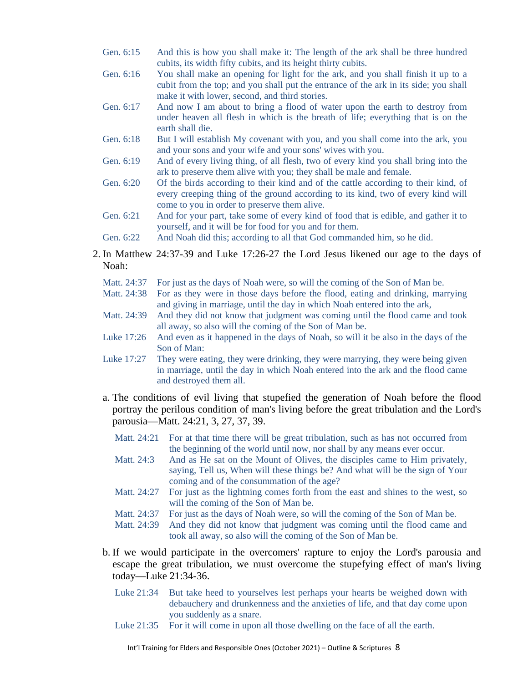- Gen. 6:15 And this is how you shall make it: The length of the ark shall be three hundred cubits, its width fifty cubits, and its height thirty cubits.
- Gen. 6:16 You shall make an opening for light for the ark, and you shall finish it up to a cubit from the top; and you shall put the entrance of the ark in its side; you shall make it with lower, second, and third stories.
- Gen. 6:17 And now I am about to bring a flood of water upon the earth to destroy from under heaven all flesh in which is the breath of life; everything that is on the earth shall die.
- Gen. 6:18 But I will establish My covenant with you, and you shall come into the ark, you and your sons and your wife and your sons' wives with you.
- Gen. 6:19 And of every living thing, of all flesh, two of every kind you shall bring into the ark to preserve them alive with you; they shall be male and female.
- Gen. 6:20 Of the birds according to their kind and of the cattle according to their kind, of every creeping thing of the ground according to its kind, two of every kind will come to you in order to preserve them alive.
- Gen. 6:21 And for your part, take some of every kind of food that is edible, and gather it to yourself, and it will be for food for you and for them.
- Gen. 6:22 And Noah did this; according to all that God commanded him, so he did.
- 2. In Matthew 24:37-39 and Luke 17:26-27 the Lord Jesus likened our age to the days of Noah:
	- Matt. 24:37 For just as the days of Noah were, so will the coming of the Son of Man be.
	- Matt. 24:38 For as they were in those days before the flood, eating and drinking, marrying and giving in marriage, until the day in which Noah entered into the ark,
	- Matt. 24:39 And they did not know that judgment was coming until the flood came and took all away, so also will the coming of the Son of Man be.
	- Luke 17:26 And even as it happened in the days of Noah, so will it be also in the days of the Son of Man:
	- Luke 17:27 They were eating, they were drinking, they were marrying, they were being given in marriage, until the day in which Noah entered into the ark and the flood came and destroyed them all.
	- a. The conditions of evil living that stupefied the generation of Noah before the flood portray the perilous condition of man's living before the great tribulation and the Lord's parousia—Matt. 24:21, 3, 27, 37, 39.
		- Matt. 24:21 For at that time there will be great tribulation, such as has not occurred from the beginning of the world until now, nor shall by any means ever occur.
		- Matt. 24:3 And as He sat on the Mount of Olives, the disciples came to Him privately, saying, Tell us, When will these things be? And what will be the sign of Your coming and of the consummation of the age?
		- Matt. 24:27 For just as the lightning comes forth from the east and shines to the west, so will the coming of the Son of Man be.
		- Matt. 24:37 For just as the days of Noah were, so will the coming of the Son of Man be.
		- Matt. 24:39 And they did not know that judgment was coming until the flood came and took all away, so also will the coming of the Son of Man be.
	- b. If we would participate in the overcomers' rapture to enjoy the Lord's parousia and escape the great tribulation, we must overcome the stupefying effect of man's living today—Luke 21:34-36.
		- Luke 21:34 But take heed to yourselves lest perhaps your hearts be weighed down with debauchery and drunkenness and the anxieties of life, and that day come upon you suddenly as a snare.
		- Luke 21:35 For it will come in upon all those dwelling on the face of all the earth.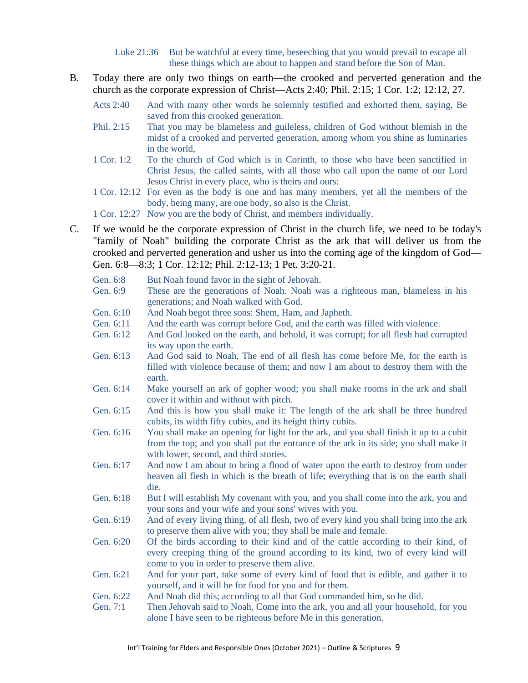Luke 21:36 But be watchful at every time, beseeching that you would prevail to escape all these things which are about to happen and stand before the Son of Man.

- B. Today there are only two things on earth—the crooked and perverted generation and the church as the corporate expression of Christ—Acts 2:40; Phil. 2:15; 1 Cor. 1:2; 12:12, 27.
	- Acts 2:40 And with many other words he solemnly testified and exhorted them, saying, Be saved from this crooked generation.
	- Phil. 2:15 That you may be blameless and guileless, children of God without blemish in the midst of a crooked and perverted generation, among whom you shine as luminaries in the world,
	- 1 Cor. 1:2 To the church of God which is in Corinth, to those who have been sanctified in Christ Jesus, the called saints, with all those who call upon the name of our Lord Jesus Christ in every place, who is theirs and ours:
	- 1 Cor. 12:12 For even as the body is one and has many members, yet all the members of the body, being many, are one body, so also is the Christ.

1 Cor. 12:27 Now you are the body of Christ, and members individually.

C. If we would be the corporate expression of Christ in the church life, we need to be today's "family of Noah" building the corporate Christ as the ark that will deliver us from the crooked and perverted generation and usher us into the coming age of the kingdom of God— Gen. 6:8—8:3; 1 Cor. 12:12; Phil. 2:12-13; 1 Pet. 3:20-21.

| Gen. 6:8  | But Noah found favor in the sight of Jehovah.                                                                   |
|-----------|-----------------------------------------------------------------------------------------------------------------|
| Gen. 6:9  | These are the generations of Noah. Noah was a righteous man, blameless in his                                   |
|           | generations; and Noah walked with God.                                                                          |
| Gen. 6:10 | And Noah begot three sons: Shem, Ham, and Japheth.                                                              |
| Gen. 6:11 | And the earth was corrupt before God, and the earth was filled with violence.                                   |
| Gen. 6:12 | And God looked on the earth, and behold, it was corrupt; for all flesh had corrupted<br>its way upon the earth. |
| Gen. 6:13 | And God said to Noah, The end of all flesh has come before Me, for the earth is                                 |
|           | filled with violence because of them; and now I am about to destroy them with the                               |
|           | earth.                                                                                                          |
| Gen. 6:14 | Make yourself an ark of gopher wood; you shall make rooms in the ark and shall                                  |
|           | cover it within and without with pitch.                                                                         |
| Gen. 6:15 | And this is how you shall make it: The length of the ark shall be three hundred                                 |
|           | cubits, its width fifty cubits, and its height thirty cubits.                                                   |
| Gen. 6:16 | You shall make an opening for light for the ark, and you shall finish it up to a cubit                          |
|           | from the top; and you shall put the entrance of the ark in its side; you shall make it                          |
|           | with lower, second, and third stories.                                                                          |
| Gen. 6:17 | And now I am about to bring a flood of water upon the earth to destroy from under                               |
|           | heaven all flesh in which is the breath of life; everything that is on the earth shall                          |
|           | die.                                                                                                            |
| Gen. 6:18 | But I will establish My covenant with you, and you shall come into the ark, you and                             |
|           | your sons and your wife and your sons' wives with you.                                                          |
| Gen. 6:19 | And of every living thing, of all flesh, two of every kind you shall bring into the ark                         |
|           | to preserve them alive with you; they shall be male and female.                                                 |
| Gen. 6:20 | Of the birds according to their kind and of the cattle according to their kind, of                              |
|           | every creeping thing of the ground according to its kind, two of every kind will                                |
|           | come to you in order to preserve them alive.                                                                    |
| Gen. 6:21 | And for your part, take some of every kind of food that is edible, and gather it to                             |
|           | yourself, and it will be for food for you and for them.                                                         |
| Gen. 6:22 | And Noah did this; according to all that God commanded him, so he did.                                          |
| Gen. 7:1  | Then Jehovah said to Noah, Come into the ark, you and all your household, for you                               |
|           | alone I have seen to be righteous before Me in this generation.                                                 |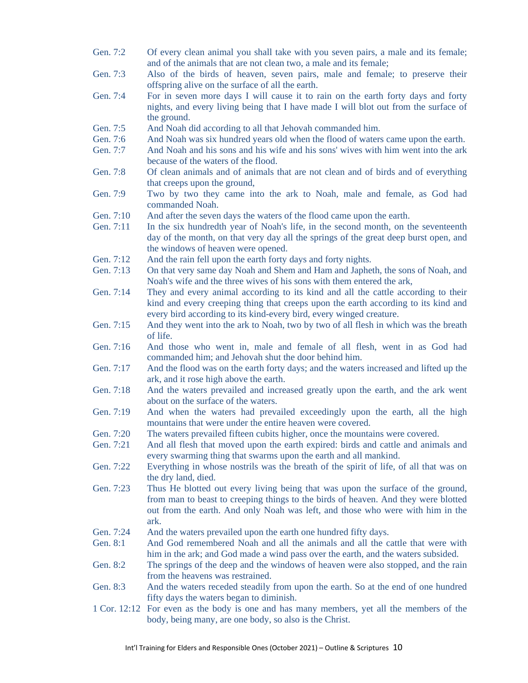- Gen. 7:2 Of every clean animal you shall take with you seven pairs, a male and its female; and of the animals that are not clean two, a male and its female;
- Gen. 7:3 Also of the birds of heaven, seven pairs, male and female; to preserve their offspring alive on the surface of all the earth.
- Gen. 7:4 For in seven more days I will cause it to rain on the earth forty days and forty nights, and every living being that I have made I will blot out from the surface of the ground.
- Gen. 7:5 And Noah did according to all that Jehovah commanded him.
- Gen. 7:6 And Noah was six hundred years old when the flood of waters came upon the earth.
- Gen. 7:7 And Noah and his sons and his wife and his sons' wives with him went into the ark because of the waters of the flood.
- Gen. 7:8 Of clean animals and of animals that are not clean and of birds and of everything that creeps upon the ground,
- Gen. 7:9 Two by two they came into the ark to Noah, male and female, as God had commanded Noah.
- Gen. 7:10 And after the seven days the waters of the flood came upon the earth.
- Gen. 7:11 In the six hundredth year of Noah's life, in the second month, on the seventeenth day of the month, on that very day all the springs of the great deep burst open, and the windows of heaven were opened.
- Gen. 7:12 And the rain fell upon the earth forty days and forty nights.
- Gen. 7:13 On that very same day Noah and Shem and Ham and Japheth, the sons of Noah, and Noah's wife and the three wives of his sons with them entered the ark,
- Gen. 7:14 They and every animal according to its kind and all the cattle according to their kind and every creeping thing that creeps upon the earth according to its kind and every bird according to its kind-every bird, every winged creature.
- Gen. 7:15 And they went into the ark to Noah, two by two of all flesh in which was the breath of life.
- Gen. 7:16 And those who went in, male and female of all flesh, went in as God had commanded him; and Jehovah shut the door behind him.
- Gen. 7:17 And the flood was on the earth forty days; and the waters increased and lifted up the ark, and it rose high above the earth.
- Gen. 7:18 And the waters prevailed and increased greatly upon the earth, and the ark went about on the surface of the waters.
- Gen. 7:19 And when the waters had prevailed exceedingly upon the earth, all the high mountains that were under the entire heaven were covered.
- Gen. 7:20 The waters prevailed fifteen cubits higher, once the mountains were covered.
- Gen. 7:21 And all flesh that moved upon the earth expired: birds and cattle and animals and every swarming thing that swarms upon the earth and all mankind.
- Gen. 7:22 Everything in whose nostrils was the breath of the spirit of life, of all that was on the dry land, died.
- Gen. 7:23 Thus He blotted out every living being that was upon the surface of the ground, from man to beast to creeping things to the birds of heaven. And they were blotted out from the earth. And only Noah was left, and those who were with him in the ark.
- Gen. 7:24 And the waters prevailed upon the earth one hundred fifty days.
- Gen. 8:1 And God remembered Noah and all the animals and all the cattle that were with him in the ark; and God made a wind pass over the earth, and the waters subsided.
- Gen. 8:2 The springs of the deep and the windows of heaven were also stopped, and the rain from the heavens was restrained.
- Gen. 8:3 And the waters receded steadily from upon the earth. So at the end of one hundred fifty days the waters began to diminish.
- 1 Cor. 12:12 For even as the body is one and has many members, yet all the members of the body, being many, are one body, so also is the Christ.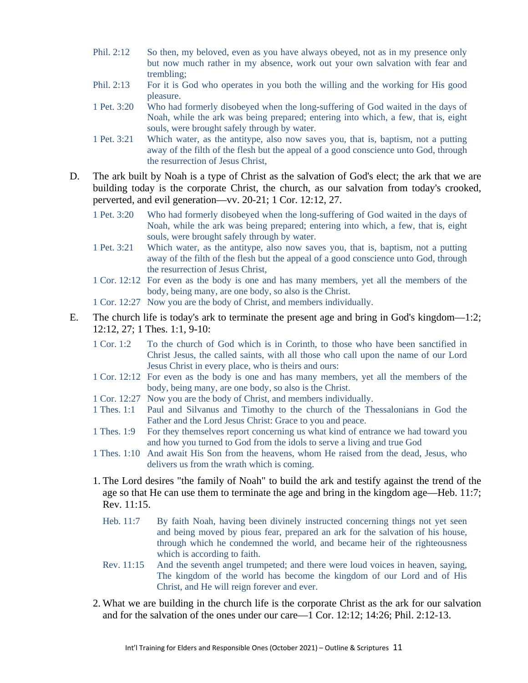- Phil. 2:12 So then, my beloved, even as you have always obeyed, not as in my presence only but now much rather in my absence, work out your own salvation with fear and trembling;
- Phil. 2:13 For it is God who operates in you both the willing and the working for His good pleasure.
- 1 Pet. 3:20 Who had formerly disobeyed when the long-suffering of God waited in the days of Noah, while the ark was being prepared; entering into which, a few, that is, eight souls, were brought safely through by water.
- 1 Pet. 3:21 Which water, as the antitype, also now saves you, that is, baptism, not a putting away of the filth of the flesh but the appeal of a good conscience unto God, through the resurrection of Jesus Christ,
- D. The ark built by Noah is a type of Christ as the salvation of God's elect; the ark that we are building today is the corporate Christ, the church, as our salvation from today's crooked, perverted, and evil generation—vv. 20-21; 1 Cor. 12:12, 27.
	- 1 Pet. 3:20 Who had formerly disobeyed when the long-suffering of God waited in the days of Noah, while the ark was being prepared; entering into which, a few, that is, eight souls, were brought safely through by water.
	- 1 Pet. 3:21 Which water, as the antitype, also now saves you, that is, baptism, not a putting away of the filth of the flesh but the appeal of a good conscience unto God, through the resurrection of Jesus Christ,
	- 1 Cor. 12:12 For even as the body is one and has many members, yet all the members of the body, being many, are one body, so also is the Christ.
	- 1 Cor. 12:27 Now you are the body of Christ, and members individually.
- E. The church life is today's ark to terminate the present age and bring in God's kingdom—1:2; 12:12, 27; 1 Thes. 1:1, 9-10:
	- 1 Cor. 1:2 To the church of God which is in Corinth, to those who have been sanctified in Christ Jesus, the called saints, with all those who call upon the name of our Lord Jesus Christ in every place, who is theirs and ours:
	- 1 Cor. 12:12 For even as the body is one and has many members, yet all the members of the body, being many, are one body, so also is the Christ.
	- 1 Cor. 12:27 Now you are the body of Christ, and members individually.
	- 1 Thes. 1:1 Paul and Silvanus and Timothy to the church of the Thessalonians in God the Father and the Lord Jesus Christ: Grace to you and peace.
	- 1 Thes. 1:9 For they themselves report concerning us what kind of entrance we had toward you and how you turned to God from the idols to serve a living and true God
	- 1 Thes. 1:10 And await His Son from the heavens, whom He raised from the dead, Jesus, who delivers us from the wrath which is coming.
	- 1. The Lord desires "the family of Noah" to build the ark and testify against the trend of the age so that He can use them to terminate the age and bring in the kingdom age—Heb. 11:7; Rev. 11:15.
		- Heb. 11:7 By faith Noah, having been divinely instructed concerning things not yet seen and being moved by pious fear, prepared an ark for the salvation of his house, through which he condemned the world, and became heir of the righteousness which is according to faith.
		- Rev. 11:15 And the seventh angel trumpeted; and there were loud voices in heaven, saying, The kingdom of the world has become the kingdom of our Lord and of His Christ, and He will reign forever and ever.
	- 2. What we are building in the church life is the corporate Christ as the ark for our salvation and for the salvation of the ones under our care—1 Cor. 12:12; 14:26; Phil. 2:12-13.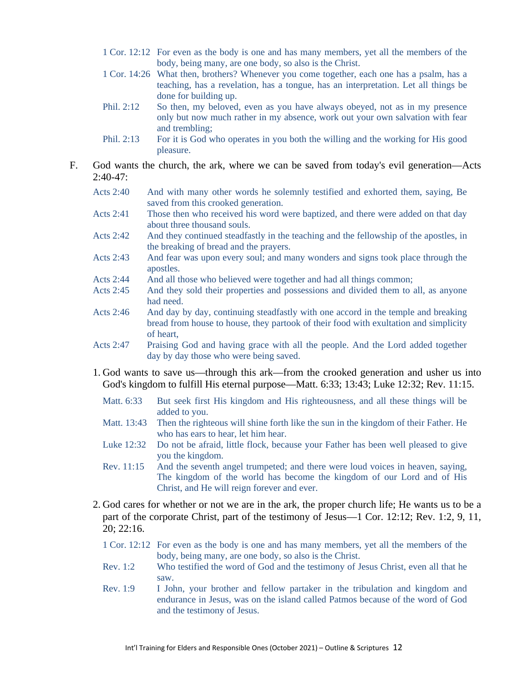- 1 Cor. 12:12 For even as the body is one and has many members, yet all the members of the body, being many, are one body, so also is the Christ.
- 1 Cor. 14:26 What then, brothers? Whenever you come together, each one has a psalm, has a teaching, has a revelation, has a tongue, has an interpretation. Let all things be done for building up.
- Phil. 2:12 So then, my beloved, even as you have always obeyed, not as in my presence only but now much rather in my absence, work out your own salvation with fear and trembling;
- Phil. 2:13 For it is God who operates in you both the willing and the working for His good pleasure.
- F. God wants the church, the ark, where we can be saved from today's evil generation—Acts  $2:40-47:$ 
	- Acts 2:40 And with many other words he solemnly testified and exhorted them, saying, Be saved from this crooked generation.
	- Acts 2:41 Those then who received his word were baptized, and there were added on that day about three thousand souls.
	- Acts 2:42 And they continued steadfastly in the teaching and the fellowship of the apostles, in the breaking of bread and the prayers.
	- Acts 2:43 And fear was upon every soul; and many wonders and signs took place through the apostles.
	- Acts 2:44 And all those who believed were together and had all things common;
	- Acts 2:45 And they sold their properties and possessions and divided them to all, as anyone had need.
	- Acts 2:46 And day by day, continuing steadfastly with one accord in the temple and breaking bread from house to house, they partook of their food with exultation and simplicity of heart,
	- Acts 2:47 Praising God and having grace with all the people. And the Lord added together day by day those who were being saved.
	- 1. God wants to save us—through this ark—from the crooked generation and usher us into God's kingdom to fulfill His eternal purpose—Matt. 6:33; 13:43; Luke 12:32; Rev. 11:15.
		- Matt. 6:33 But seek first His kingdom and His righteousness, and all these things will be added to you.
		- Matt. 13:43 Then the righteous will shine forth like the sun in the kingdom of their Father. He who has ears to hear, let him hear.
		- Luke 12:32 Do not be afraid, little flock, because your Father has been well pleased to give you the kingdom.
		- Rev. 11:15 And the seventh angel trumpeted; and there were loud voices in heaven, saying, The kingdom of the world has become the kingdom of our Lord and of His Christ, and He will reign forever and ever.
	- 2. God cares for whether or not we are in the ark, the proper church life; He wants us to be a part of the corporate Christ, part of the testimony of Jesus—1 Cor. 12:12; Rev. 1:2, 9, 11, 20; 22:16.
		- 1 Cor. 12:12 For even as the body is one and has many members, yet all the members of the body, being many, are one body, so also is the Christ.
		- Rev. 1:2 Who testified the word of God and the testimony of Jesus Christ, even all that he saw.
		- Rev. 1:9 I John, your brother and fellow partaker in the tribulation and kingdom and endurance in Jesus, was on the island called Patmos because of the word of God and the testimony of Jesus.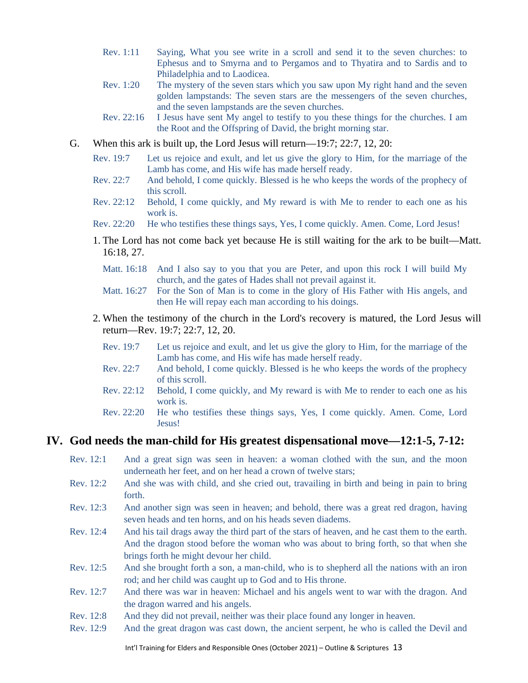- Rev. 1:11 Saying, What you see write in a scroll and send it to the seven churches: to Ephesus and to Smyrna and to Pergamos and to Thyatira and to Sardis and to Philadelphia and to Laodicea.
- Rev. 1:20 The mystery of the seven stars which you saw upon My right hand and the seven golden lampstands: The seven stars are the messengers of the seven churches, and the seven lampstands are the seven churches.
- Rev. 22:16 I Jesus have sent My angel to testify to you these things for the churches. I am the Root and the Offspring of David, the bright morning star.
- G. When this ark is built up, the Lord Jesus will return—19:7; 22:7, 12, 20:
	- Rev. 19:7 Let us rejoice and exult, and let us give the glory to Him, for the marriage of the Lamb has come, and His wife has made herself ready.
	- Rev. 22:7 And behold, I come quickly. Blessed is he who keeps the words of the prophecy of this scroll.
	- Rev. 22:12 Behold, I come quickly, and My reward is with Me to render to each one as his work is.
	- Rev. 22:20 He who testifies these things says, Yes, I come quickly. Amen. Come, Lord Jesus!
	- 1. The Lord has not come back yet because He is still waiting for the ark to be built—Matt. 16:18, 27.
		- Matt. 16:18 And I also say to you that you are Peter, and upon this rock I will build My church, and the gates of Hades shall not prevail against it.
		- Matt. 16:27 For the Son of Man is to come in the glory of His Father with His angels, and then He will repay each man according to his doings.
	- 2. When the testimony of the church in the Lord's recovery is matured, the Lord Jesus will return—Rev. 19:7; 22:7, 12, 20.
		- Rev. 19:7 Let us rejoice and exult, and let us give the glory to Him, for the marriage of the Lamb has come, and His wife has made herself ready.
		- Rev. 22:7 And behold, I come quickly. Blessed is he who keeps the words of the prophecy of this scroll.
		- Rev. 22:12 Behold, I come quickly, and My reward is with Me to render to each one as his work is.
		- Rev. 22:20 He who testifies these things says, Yes, I come quickly. Amen. Come, Lord Jesus!

#### **IV. God needs the man-child for His greatest dispensational move—12:1-5, 7-12:**

- Rev. 12:1 And a great sign was seen in heaven: a woman clothed with the sun, and the moon underneath her feet, and on her head a crown of twelve stars;
- Rev. 12:2 And she was with child, and she cried out, travailing in birth and being in pain to bring forth.
- Rev. 12:3 And another sign was seen in heaven; and behold, there was a great red dragon, having seven heads and ten horns, and on his heads seven diadems.
- Rev. 12:4 And his tail drags away the third part of the stars of heaven, and he cast them to the earth. And the dragon stood before the woman who was about to bring forth, so that when she brings forth he might devour her child.
- Rev. 12:5 And she brought forth a son, a man-child, who is to shepherd all the nations with an iron rod; and her child was caught up to God and to His throne.
- Rev. 12:7 And there was war in heaven: Michael and his angels went to war with the dragon. And the dragon warred and his angels.
- Rev. 12:8 And they did not prevail, neither was their place found any longer in heaven.
- Rev. 12:9 And the great dragon was cast down, the ancient serpent, he who is called the Devil and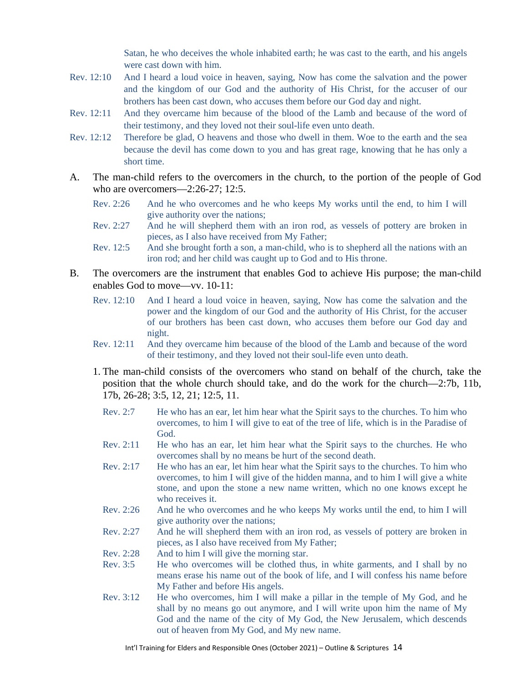Satan, he who deceives the whole inhabited earth; he was cast to the earth, and his angels were cast down with him.

- Rev. 12:10 And I heard a loud voice in heaven, saying, Now has come the salvation and the power and the kingdom of our God and the authority of His Christ, for the accuser of our brothers has been cast down, who accuses them before our God day and night.
- Rev. 12:11 And they overcame him because of the blood of the Lamb and because of the word of their testimony, and they loved not their soul-life even unto death.
- Rev. 12:12 Therefore be glad, O heavens and those who dwell in them. Woe to the earth and the sea because the devil has come down to you and has great rage, knowing that he has only a short time.
- A. The man-child refers to the overcomers in the church, to the portion of the people of God who are overcomers—2:26-27; 12:5.
	- Rev. 2:26 And he who overcomes and he who keeps My works until the end, to him I will give authority over the nations;
	- Rev. 2:27 And he will shepherd them with an iron rod, as vessels of pottery are broken in pieces, as I also have received from My Father;
	- Rev. 12:5 And she brought forth a son, a man-child, who is to shepherd all the nations with an iron rod; and her child was caught up to God and to His throne.
- B. The overcomers are the instrument that enables God to achieve His purpose; the man-child enables God to move—vv. 10-11:
	- Rev. 12:10 And I heard a loud voice in heaven, saying, Now has come the salvation and the power and the kingdom of our God and the authority of His Christ, for the accuser of our brothers has been cast down, who accuses them before our God day and night.
	- Rev. 12:11 And they overcame him because of the blood of the Lamb and because of the word of their testimony, and they loved not their soul-life even unto death.
	- 1. The man-child consists of the overcomers who stand on behalf of the church, take the position that the whole church should take, and do the work for the church—2:7b, 11b, 17b, 26-28; 3:5, 12, 21; 12:5, 11.
		- Rev. 2:7 He who has an ear, let him hear what the Spirit says to the churches. To him who overcomes, to him I will give to eat of the tree of life, which is in the Paradise of God.
		- Rev. 2:11 He who has an ear, let him hear what the Spirit says to the churches. He who overcomes shall by no means be hurt of the second death.
		- Rev. 2:17 He who has an ear, let him hear what the Spirit says to the churches. To him who overcomes, to him I will give of the hidden manna, and to him I will give a white stone, and upon the stone a new name written, which no one knows except he who receives it.
		- Rev. 2:26 And he who overcomes and he who keeps My works until the end, to him I will give authority over the nations;
		- Rev. 2:27 And he will shepherd them with an iron rod, as vessels of pottery are broken in pieces, as I also have received from My Father;
		- Rev. 2:28 And to him I will give the morning star.
		- Rev. 3:5 He who overcomes will be clothed thus, in white garments, and I shall by no means erase his name out of the book of life, and I will confess his name before My Father and before His angels.
		- Rev. 3:12 He who overcomes, him I will make a pillar in the temple of My God, and he shall by no means go out anymore, and I will write upon him the name of My God and the name of the city of My God, the New Jerusalem, which descends out of heaven from My God, and My new name.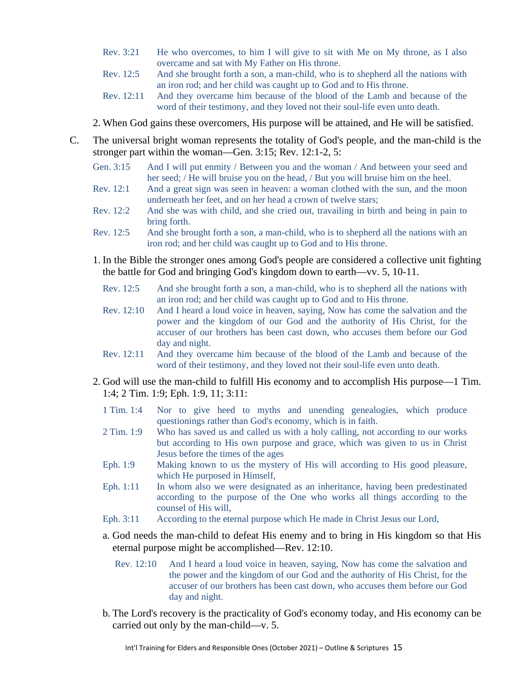- Rev. 3:21 He who overcomes, to him I will give to sit with Me on My throne, as I also overcame and sat with My Father on His throne.
- Rev. 12:5 And she brought forth a son, a man-child, who is to shepherd all the nations with an iron rod; and her child was caught up to God and to His throne.
- Rev. 12:11 And they overcame him because of the blood of the Lamb and because of the word of their testimony, and they loved not their soul-life even unto death.

2. When God gains these overcomers, His purpose will be attained, and He will be satisfied.

- C. The universal bright woman represents the totality of God's people, and the man-child is the stronger part within the woman—Gen. 3:15; Rev. 12:1-2, 5:
	- Gen. 3:15 And I will put enmity / Between you and the woman / And between your seed and her seed; / He will bruise you on the head, / But you will bruise him on the heel.
	- Rev. 12:1 And a great sign was seen in heaven: a woman clothed with the sun, and the moon underneath her feet, and on her head a crown of twelve stars;
	- Rev. 12:2 And she was with child, and she cried out, travailing in birth and being in pain to bring forth.
	- Rev. 12:5 And she brought forth a son, a man-child, who is to shepherd all the nations with an iron rod; and her child was caught up to God and to His throne.
	- 1. In the Bible the stronger ones among God's people are considered a collective unit fighting the battle for God and bringing God's kingdom down to earth—vv. 5, 10-11.
		- Rev. 12:5 And she brought forth a son, a man-child, who is to shepherd all the nations with an iron rod; and her child was caught up to God and to His throne.
		- Rev. 12:10 And I heard a loud voice in heaven, saying, Now has come the salvation and the power and the kingdom of our God and the authority of His Christ, for the accuser of our brothers has been cast down, who accuses them before our God day and night.
		- Rev. 12:11 And they overcame him because of the blood of the Lamb and because of the word of their testimony, and they loved not their soul-life even unto death.
	- 2. God will use the man-child to fulfill His economy and to accomplish His purpose—1 Tim. 1:4; 2 Tim. 1:9; Eph. 1:9, 11; 3:11:
		- 1 Tim. 1:4 Nor to give heed to myths and unending genealogies, which produce questionings rather than God's economy, which is in faith.
		- 2 Tim. 1:9 Who has saved us and called us with a holy calling, not according to our works but according to His own purpose and grace, which was given to us in Christ Jesus before the times of the ages
		- Eph. 1:9 Making known to us the mystery of His will according to His good pleasure, which He purposed in Himself,
		- Eph. 1:11 In whom also we were designated as an inheritance, having been predestinated according to the purpose of the One who works all things according to the counsel of His will,
		- Eph. 3:11 According to the eternal purpose which He made in Christ Jesus our Lord,
		- a. God needs the man-child to defeat His enemy and to bring in His kingdom so that His eternal purpose might be accomplished—Rev. 12:10.
			- Rev. 12:10 And I heard a loud voice in heaven, saying, Now has come the salvation and the power and the kingdom of our God and the authority of His Christ, for the accuser of our brothers has been cast down, who accuses them before our God day and night.
		- b. The Lord's recovery is the practicality of God's economy today, and His economy can be carried out only by the man-child—v. 5.